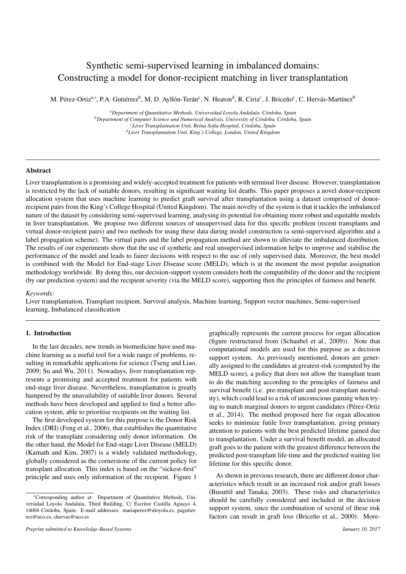# Synthetic semi-supervised learning in imbalanced domains: Constructing a model for donor-recipient matching in liver transplantation

M. Pérez-Ortiz<sup>a,∗</sup>, P.A. Gutiérrez<sup>b</sup>, M. D. Ayllón-Terán<sup>c</sup>, N. Heaton<sup>d</sup>, R. Ciria<sup>c</sup>, J. Briceño<sup>c</sup>, C. Hervás-Martínez<sup>b</sup>

<sup>a</sup>Department of Quantitative Methods, Universidad Loyola Andaluía, Córdoba, Spain *b* Department of Computer Science and Numerical Analysis, University of Córdoba, Córdoba, Spain *<sup>c</sup>Liver Transplantation Unit, Reina Sof´ıa Hospital, C ´ordoba, Spain <sup>d</sup>Liver Transplantation Unit, King's College, London, United Kingdom*

# Abstract

Liver transplantation is a promising and widely-accepted treatment for patients with terminal liver disease. However, transplantation is restricted by the lack of suitable donors, resulting in significant waiting list deaths. This paper proposes a novel donor-recipient allocation system that uses machine learning to predict graft survival after transplantation using a dataset comprised of donorrecipient pairs from the King's College Hospital (United Kingdom). The main novelty of the system is that it tackles the imbalanced nature of the dataset by considering semi-supervised learning, analysing its potential for obtaining more robust and equitable models in liver transplantation. We propose two different sources of unsupervised data for this specific problem (recent transplants and virtual donor-recipient pairs) and two methods for using these data during model construction (a semi-supervised algorithm and a label propagation scheme). The virtual pairs and the label propagation method are shown to alleviate the imbalanced distribution. The results of our experiments show that the use of synthetic and real unsupervised information helps to improve and stabilise the performance of the model and leads to fairer decisions with respect to the use of only supervised data. Moreover, the best model is combined with the Model for End-stage Liver Disease score (MELD), which is at the moment the most popular assignation methodology worldwide. By doing this, our decision-support system considers both the compatibility of the donor and the recipient (by our prediction system) and the recipient severity (via the MELD score), supporting then the principles of fairness and benefit.

# *Keywords:*

Liver transplantation, Transplant recipient, Survival analysis, Machine learning, Support vector machines, Semi-supervised learning, Imbalanced classification

# 1. Introduction

In the last decades, new trends in biomedicine have used machine learning as a useful tool for a wide range of problems, resulting in remarkable applications for science (Tseng and Liao, 2009; Su and Wu, 2011). Nowadays, liver transplantation represents a promising and accepted treatment for patients with end-stage liver disease. Nevertheless, transplantation is greatly hampered by the unavailability of suitable liver donors. Several methods have been developed and applied to find a better allocation system, able to prioritise recipients on the waiting list.

The first developed system for this purpose is the Donor Risk Index (DRI) (Feng et al., 2006), that establishes the quantitative risk of the transplant considering only donor information. On the other hand, the Model for End-stage Liver Disease (MELD) (Kamath and Kim, 2007) is a widely validated methodology, globally considered as the cornerstone of the current policy for transplant allocation. This index is based on the "sickest-first" principle and uses only information of the recipient. Figure 1

graphically represents the current process for organ allocation (figure restructured from (Schaubel et al., 2009)). Note that computational models are used for this purpose as a decision support system. As previously mentioned, donors are generally assigned to the candidates at greatest-risk (computed by the MELD score), a policy that does not allow the transplant team to do the matching according to the principles of fairness and survival benefit (i.e. pre-transplant and post-transplant mortality), which could lead to a risk of unconscious gaming when trying to match marginal donors to urgent candidates (Pérez-Ortiz et al., 2014). The method proposed here for organ allocation seeks to minimize futile liver transplantation, giving primary attention to patients with the best predicted lifetime gained due to transplantation. Under a survival benefit model, an allocated graft goes to the patient with the greatest difference between the predicted post-transplant life-time and the predicted waiting list lifetime for this specific donor.

As shown in previous research, there are different donor characteristics which result in an increased risk and/or graft losses (Busuttil and Tanaka, 2003). These risks and characteristics should be carefully considered and included in the decision support system, since the combination of several of these risk factors can result in graft loss (Briceño et al., 2000). More-

<sup>∗</sup>Corresponding author at: Department of Quantitative Methods, Universidad Loyola Andaluía, Third Building, C/ Escritor Castilla Aguayo 4, 14004 Córdoba, Spain. E-mail addresses: mariaperez@uloyola.es, pagutierrez@uco.es, chervas@uco.es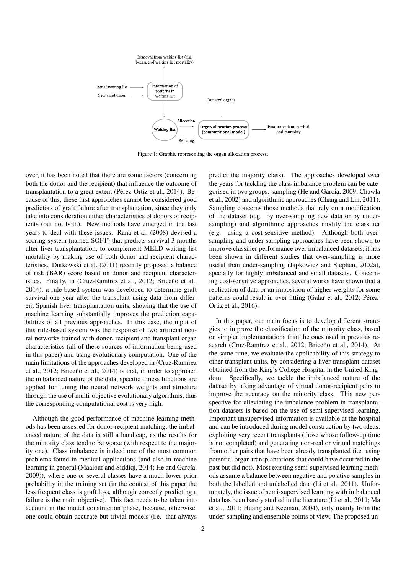

Figure 1: Graphic representing the organ allocation process.

over, it has been noted that there are some factors (concerning both the donor and the recipient) that influence the outcome of transplantation to a great extent (Pérez-Ortiz et al., 2014). Because of this, these first approaches cannot be considered good predictors of graft failure after transplantation, since they only take into consideration either characteristics of donors or recipients (but not both). New methods have emerged in the last years to deal with these issues. Rana et al. (2008) devised a scoring system (named SOFT) that predicts survival 3 months after liver transplantation, to complement MELD waiting list mortality by making use of both donor and recipient characteristics. Dutkowski et al. (2011) recently proposed a balance of risk (BAR) score based on donor and recipient characteristics. Finally, in (Cruz-Ramírez et al., 2012; Briceño et al., 2014), a rule-based system was developed to determine graft survival one year after the transplant using data from different Spanish liver transplantation units, showing that the use of machine learning substantially improves the prediction capabilities of all previous approaches. In this case, the input of this rule-based system was the response of two artificial neural networks trained with donor, recipient and transplant organ characteristics (all of these sources of information being used in this paper) and using evolutionary computation. One of the main limitations of the approaches developed in (Cruz-Ramírez) et al., 2012; Briceño et al., 2014) is that, in order to approach the imbalanced nature of the data, specific fitness functions are applied for tuning the neural network weights and structure through the use of multi-objective evolutionary algorithms, thus the corresponding computational cost is very high.

Although the good performance of machine learning methods has been assessed for donor-recipient matching, the imbalanced nature of the data is still a handicap, as the results for the minority class tend to be worse (with respect to the majority one). Class imbalance is indeed one of the most common problems found in medical applications (and also in machine learning in general (Maalouf and Siddiqi, 2014; He and García, 2009)), where one or several classes have a much lower prior probability in the training set (in the context of this paper the less frequent class is graft loss, although correctly predicting a failure is the main objective). This fact needs to be taken into account in the model construction phase, because, otherwise, one could obtain accurate but trivial models (i.e. that always

predict the majority class). The approaches developed over the years for tackling the class imbalance problem can be categorised in two groups: sampling (He and García, 2009; Chawla et al., 2002) and algorithmic approaches (Chang and Lin, 2011). Sampling concerns those methods that rely on a modification of the dataset (e.g. by over-sampling new data or by undersampling) and algorithmic approaches modify the classifier (e.g. using a cost-sensitive method). Although both oversampling and under-sampling approaches have been shown to improve classifier performance over imbalanced datasets, it has been shown in different studies that over-sampling is more useful than under-sampling (Japkowicz and Stephen, 2002a), specially for highly imbalanced and small datasets. Concerning cost-sensitive approaches, several works have shown that a replication of data or an imposition of higher weights for some patterns could result in over-fitting (Galar et al., 2012; Pérez-Ortiz et al., 2016).

In this paper, our main focus is to develop different strategies to improve the classification of the minority class, based on simpler implementations than the ones used in previous research (Cruz-Ramírez et al., 2012; Briceño et al., 2014). At the same time, we evaluate the applicability of this strategy to other transplant units, by considering a liver transplant dataset obtained from the King's College Hospital in the United Kingdom. Specifically, we tackle the imbalanced nature of the dataset by taking advantage of virtual donor-recipient pairs to improve the accuracy on the minority class. This new perspective for alleviating the imbalance problem in transplantation datasets is based on the use of semi-supervised learning. Important unsupervised information is available at the hospital and can be introduced during model construction by two ideas: exploiting very recent transplants (those whose follow-up time is not completed) and generating non-real or virtual matchings from other pairs that have been already transplanted (i.e. using potential organ transplantations that could have occurred in the past but did not). Most existing semi-supervised learning methods assume a balance between negative and positive samples in both the labelled and unlabelled data (Li et al., 2011). Unfortunately, the issue of semi-supervised learning with imbalanced data has been barely studied in the literature (Li et al., 2011; Ma et al., 2011; Huang and Kecman, 2004), only mainly from the under-sampling and ensemble points of view. The proposed un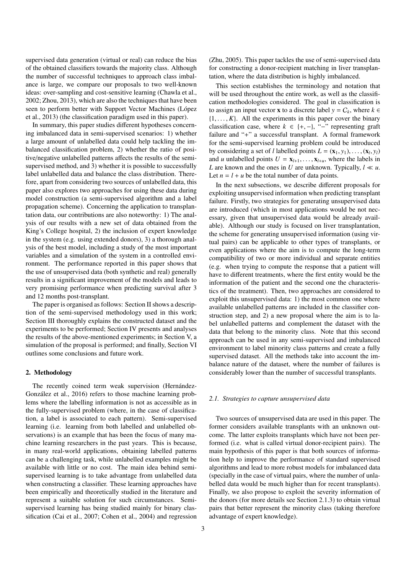supervised data generation (virtual or real) can reduce the bias of the obtained classifiers towards the majority class. Although the number of successful techniques to approach class imbalance is large, we compare our proposals to two well-known ideas: over-sampling and cost-sensitive learning (Chawla et al., 2002; Zhou, 2013), which are also the techniques that have been seen to perform better with Support Vector Machines (López et al., 2013) (the classification paradigm used in this paper).

In summary, this paper studies different hypotheses concerning imbalanced data in semi-supervised scenarios: 1) whether a large amount of unlabelled data could help tackling the imbalanced classification problem, 2) whether the ratio of positive/negative unlabelled patterns affects the results of the semisupervised method, and 3) whether it is possible to successfully label unlabelled data and balance the class distribution. Therefore, apart from considering two sources of unlabelled data, this paper also explores two approaches for using these data during model construction (a semi-supervised algorithm and a label propagation scheme). Concerning the application to transplantation data, our contributions are also noteworthy: 1) The analysis of our results with a new set of data obtained from the King's College hospital, 2) the inclusion of expert knowledge in the system (e.g. using extended donors), 3) a thorough analysis of the best model, including a study of the most important variables and a simulation of the system in a controlled environment. The performance reported in this paper shows that the use of unsupervised data (both synthetic and real) generally results in a significant improvement of the models and leads to very promising performance when predicting survival after 3 and 12 months post-transplant.

The paper is organised as follows: Section II shows a description of the semi-supervised methodology used in this work; Section III thoroughly explains the constructed dataset and the experiments to be performed; Section IV presents and analyses the results of the above-mentioned experiments; in Section V, a simulation of the proposal is performed; and finally, Section VI outlines some conclusions and future work.

# 2. Methodology

The recently coined term weak supervision (Hernández-González et al., 2016) refers to those machine learning problems where the labelling information is not as accessible as in the fully-supervised problem (where, in the case of classification, a label is associated to each pattern). Semi-supervised learning (i.e. learning from both labelled and unlabelled observations) is an example that has been the focus of many machine learning researchers in the past years. This is because, in many real-world applications, obtaining labelled patterns can be a challenging task, while unlabelled examples might be available with little or no cost. The main idea behind semisupervised learning is to take advantage from unlabelled data when constructing a classifier. These learning approaches have been empirically and theoretically studied in the literature and represent a suitable solution for such circumstances. Semisupervised learning has being studied mainly for binary classification (Cai et al., 2007; Cohen et al., 2004) and regression

(Zhu, 2005). This paper tackles the use of semi-supervised data for constructing a donor-recipient matching in liver transplantation, where the data distribution is highly imbalanced.

This section establishes the terminology and notation that will be used throughout the entire work, as well as the classification methodologies considered. The goal in classification is to assign an input vector **x** to a discrete label  $y = C_k$ , where  $k \in$  $\{1, \ldots, K\}$ . All the experiments in this paper cover the binary classification case, where  $k \in \{+, -\}$ , "−" representing graft failure and "+" a successful transplant. A formal framework for the semi-supervised learning problem could be introduced by considering a set of *l* labelled points  $L = (\mathbf{x}_1, y_1), \dots, (\mathbf{x}_l, y_l)$ <br>and *u* unlabelled points  $U = \mathbf{x}_l$ , where the labels in and *u* unlabelled points  $U = \mathbf{x}_{l+1}, \dots, \mathbf{x}_{l+u}$ , where the labels in *L* are known and the ones in *U* are unknown. Typically,  $l \ll u$ . Let  $n = l + u$  be the total number of data points.

In the next subsections, we describe different proposals for exploiting unsupervised information when predicting transplant failure. Firstly, two strategies for generating unsupervised data are introduced (which in most applications would be not necessary, given that unsupervised data would be already available). Although our study is focused on liver transplantation, the scheme for generating unsupervised information (using virtual pairs) can be applicable to other types of transplants, or even applications where the aim is to compute the long-term compatibility of two or more individual and separate entities (e.g. when trying to compute the response that a patient will have to different treatments, where the first entity would be the information of the patient and the second one the characteristics of the treatment). Then, two approaches are considered to exploit this unsupervised data: 1) the most common one where available unlabelled patterns are included in the classifier construction step, and 2) a new proposal where the aim is to label unlabelled patterns and complement the dataset with the data that belong to the minority class. Note that this second approach can be used in any semi-supervised and imbalanced environment to label minority class patterns and create a fully supervised dataset. All the methods take into account the imbalance nature of the dataset, where the number of failures is considerably lower than the number of successful transplants.

### *2.1. Strategies to capture unsupervised data*

Two sources of unsupervised data are used in this paper. The former considers available transplants with an unknown outcome. The latter exploits transplants which have not been performed (i.e. what is called virtual donor-recipient pairs). The main hypothesis of this paper is that both sources of information help to improve the performance of standard supervised algorithms and lead to more robust models for imbalanced data (specially in the case of virtual pairs, where the number of unlabelled data would be much higher than for recent transplants). Finally, we also propose to exploit the severity information of the donors (for more details see Section 2.1.3) to obtain virtual pairs that better represent the minority class (taking therefore advantage of expert knowledge).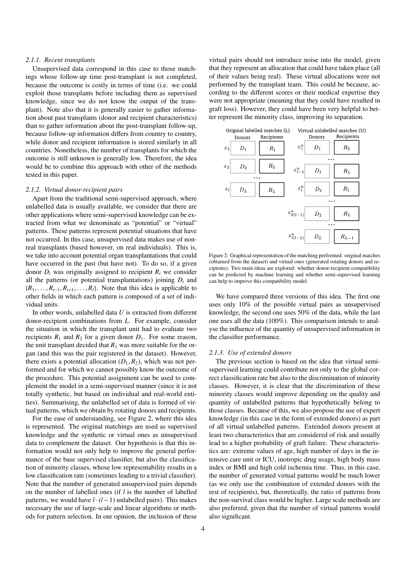## *2.1.1. Recent transplants*

Unsupervised data correspond in this case to those matchings whose follow-up time post-transplant is not completed, because the outcome is costly in terms of time (i.e. we could exploit those transplants before including them as supervised knowledge, since we do not know the output of the transplant). Note also that it is generally easier to gather information about past transplants (donor and recipient characteristics) than to gather information about the post-transplant follow-up, because follow-up information differs from country to country, while donor and recipient information is stored similarly in all countries. Nonetheless, the number of transplants for which the outcome is still unknown is generally low. Therefore, the idea would be to combine this approach with other of the methods tested in this paper.

# *2.1.2. Virtual donor-recipient pairs*

Apart from the traditional semi-supervised approach, where unlabelled data is usually available, we consider that there are other applications where semi-supervised knowledge can be extracted from what we denominate as "potential" or "virtual" patterns. These patterns represent potential situations that have not occurred. In this case, unsupervised data makes use of nonreal transplants (based however, on real individuals). This is, we take into account potential organ transplantations that could have occurred in the past (but have not). To do so, if a given donor  $D_i$  was originally assigned to recipient  $R_i$  we consider all the patterns (or potential transplantations) joining  $D_i$  and  ${R_1, \ldots, R_{i-1}, R_{i+1}, \ldots, R_l}$ . Note that this idea is applicable to other fields in which each pattern is composed of a set of individual units.

In other words, unlabelled data *U* is extracted from different donor-recipient combinations from *L*. For example, consider the situation in which the transplant unit had to evaluate two recipients  $R_1$  and  $R_2$  for a given donor  $D_1$ . For some reason, the unit transplant decided that  $R_1$  was more suitable for the organ (and this was the pair registered in the dataset). However, there exists a potential allocation  $(D_1, R_2)$ , which was not performed and for which we cannot possibly know the outcome of the procedure. This potential assignment can be used to complement the model in a semi-supervised manner (since it is not totally synthetic, but based on individual and real-world entities). Summarising, the unlabelled set of data is formed of virtual patterns, which we obtain by rotating donors and recipients.

For the ease of understanding, see Figure 2, where this idea is represented. The original matchings are used as supervised knowledge and the synthetic or virtual ones as unsupervised data to complement the dataset. Our hypothesis is that this information would not only help to improve the general performance of the base supervised classifier, but also the classification of minority classes, whose low representability results in a low classification rate (sometimes leading to a trivial classifier). Note that the number of generated unsupervised pairs depends on the number of labelled ones (if *l* is the number of labelled patterns, we would have  $l \cdot (l-1)$  unlabelled pairs). This makes necessary the use of large-scale and linear algorithms or methods for pattern selection. In our opinion, the inclusion of these

virtual pairs should not introduce noise into the model, given that they represent an allocation that could have taken place (all of their values being real). These virtual allocations were not performed by the transplant team. This could be because, according to the different scores or their medical expertise they were not appropriate (meaning that they could have resulted in graft loss). However, they could have been very helpful to better represent the minority class, improving its separation.



Figure 2: Graphical representation of the matching performed: original matches (obtained from the dataset) and virtual ones (generated rotating donors and recipients). Two main ideas are explored: whether donor-recipient compatibility can be predicted by machine learning and whether semi-supervised learning can help to improve this compatibility model.

We have compared three versions of this idea. The first one uses only 10% of the possible virtual pairs as unsupervised knowledge, the second one uses 50% of the data, while the last one uses all the data (100%). This comparison intends to analyse the influence of the quantity of unsupervised information in the classifier performance.

### *2.1.3. Use of extended donors*

The previous section is based on the idea that virtual semisupervised learning could contribute not only to the global correct classification rate but also to the discrimination of minority classes. However, it is clear that the discrimination of these minority classes would improve depending on the quality and quantity of unlabelled patterns that hypothetically belong to those classes. Because of this, we also propose the use of expert knowledge (in this case in the form of extended donors) as part of all virtual unlabelled patterns. Extended donors present at least two characteristics that are considered of risk and usually lead to a higher probability of graft failure. These characteristics are: extreme values of age, high number of days in the intensive care unit or ICU, inotropic drug usage, high body mass index or BMI and high cold ischemia time. Thus, in this case, the number of generated virtual patterns would be much lower (as we only use the combination of extended donors with the rest of recipients), but, theoretically, the ratio of patterns from the non-survival class would be higher. Large scale methods are also preferred, given that the number of virtual patterns would also significant.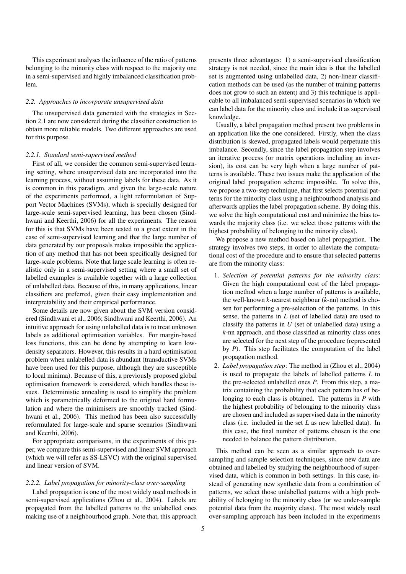This experiment analyses the influence of the ratio of patterns belonging to the minority class with respect to the majority one in a semi-supervised and highly imbalanced classification problem.

# *2.2. Approaches to incorporate unsupervised data*

The unsupervised data generated with the strategies in Section 2.1 are now considered during the classifier construction to obtain more reliable models. Two different approaches are used for this purpose.

### *2.2.1. Standard semi-supervised method*

First of all, we consider the common semi-supervised learning setting, where unsupervised data are incorporated into the learning process, without assuming labels for these data. As it is common in this paradigm, and given the large-scale nature of the experiments performed, a light reformulation of Support Vector Machines (SVMs), which is specially designed for large-scale semi-supervised learning, has been chosen (Sindhwani and Keerthi, 2006) for all the experiments. The reason for this is that SVMs have been tested to a great extent in the case of semi-supervised learning and that the large number of data generated by our proposals makes impossible the application of any method that has not been specifically designed for large-scale problems. Note that large scale learning is often realistic only in a semi-supervised setting where a small set of labelled examples is available together with a large collection of unlabelled data. Because of this, in many applications, linear classifiers are preferred, given their easy implementation and interpretability and their empirical performance.

Some details are now given about the SVM version considered (Sindhwani et al., 2006; Sindhwani and Keerthi, 2006). An intuitive approach for using unlabelled data is to treat unknown labels as additional optimisation variables. For margin-based loss functions, this can be done by attempting to learn lowdensity separators. However, this results in a hard optimisation problem when unlabelled data is abundant (transductive SVMs have been used for this purpose, although they are susceptible to local minima). Because of this, a previously proposed global optimisation framework is considered, which handles these issues. Deterministic annealing is used to simplify the problem which is parametrically deformed to the original hard formulation and where the minimisers are smoothly tracked (Sindhwani et al., 2006). This method has been also successfully reformulated for large-scale and sparse scenarios (Sindhwani and Keerthi, 2006).

For appropriate comparisons, in the experiments of this paper, we compare this semi-supervised and linear SVM approach (which we will refer as SS-LSVC) with the original supervised and linear version of SVM.

# *2.2.2. Label propagation for minority-class over-sampling*

Label propagation is one of the most widely used methods in semi-supervised applications (Zhou et al., 2004). Labels are propagated from the labelled patterns to the unlabelled ones making use of a neighbourhood graph. Note that, this approach presents three advantages: 1) a semi-supervised classification strategy is not needed, since the main idea is that the labelled set is augmented using unlabelled data, 2) non-linear classification methods can be used (as the number of training patterns does not grow to such an extent) and 3) this technique is applicable to all imbalanced semi-supervised scenarios in which we can label data for the minority class and include it as supervised knowledge.

Usually, a label propagation method present two problems in an application like the one considered. Firstly, when the class distribution is skewed, propagated labels would perpetuate this imbalance. Secondly, since the label propagation step involves an iterative process (or matrix operations including an inversion), its cost can be very high when a large number of patterns is available. These two issues make the application of the original label propagation scheme impossible. To solve this, we propose a two-step technique, that first selects potential patterns for the minority class using a neighbourhood analysis and afterwards applies the label propagation scheme. By doing this, we solve the high computational cost and minimize the bias towards the majority class (i.e. we select those patterns with the highest probability of belonging to the minority class).

We propose a new method based on label propagation. The strategy involves two steps, in order to alleviate the computational cost of the procedure and to ensure that selected patterns are from the minority class:

- 1. *Selection of potential patterns for the minority class*: Given the high computational cost of the label propagation method when a large number of patterns is available, the well-known *k*-nearest neighbour (*k*-nn) method is chosen for performing a pre-selection of the patterns. In this sense, the patterns in *L* (set of labelled data) are used to classify the patterns in *U* (set of unlabelled data) using a *k*-nn approach, and those classified as minority class ones are selected for the next step of the procedure (represented by *P*). This step facilitates the computation of the label propagation method.
- 2. *Label propagation step*: The method in (Zhou et al., 2004) is used to propagate the labels of labelled patterns *L* to the pre-selected unlabelled ones *P*. From this step, a matrix containing the probability that each pattern has of belonging to each class is obtained. The patterns in *P* with the highest probability of belonging to the minority class are chosen and included as supervised data in the minority class (i.e. included in the set *L* as new labelled data). In this case, the final number of patterns chosen is the one needed to balance the pattern distribution.

This method can be seen as a similar approach to oversampling and sample selection techniques, since new data are obtained and labelled by studying the neighbourhood of supervised data, which is common in both settings. In this case, instead of generating new synthetic data from a combination of patterns, we select those unlabelled patterns with a high probability of belonging to the minority class (or we under-sample potential data from the majority class). The most widely used over-sampling approach has been included in the experiments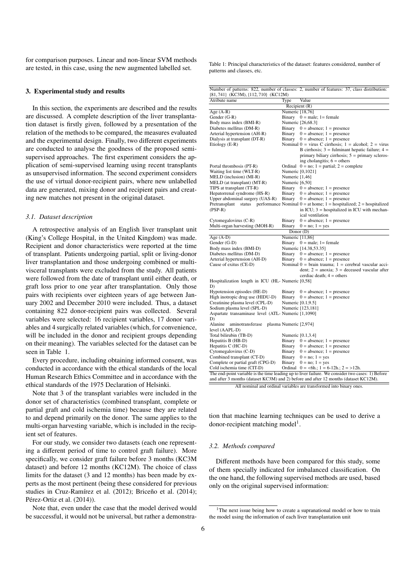for comparison purposes. Linear and non-linear SVM methods are tested, in this case, using the new augmented labelled set.

### 3. Experimental study and results

In this section, the experiments are described and the results are discussed. A complete description of the liver transplantation dataset is firstly given, followed by a presentation of the relation of the methods to be compared, the measures evaluated and the experimental design. Finally, two different experiments are conducted to analyse the goodness of the proposed semisupervised approaches. The first experiment considers the application of semi-supervised learning using recent transplants as unsupervised information. The second experiment considers the use of virtual donor-recipient pairs, where new unlabelled data are generated, mixing donor and recipient pairs and creating new matches not present in the original dataset.

# *3.1. Dataset description*

A retrospective analysis of an English liver transplant unit (King's College Hospital, in the United Kingdom) was made. Recipient and donor characteristics were reported at the time of transplant. Patients undergoing partial, split or living-donor liver transplantation and those undergoing combined or multivisceral transplants were excluded from the study. All patients were followed from the date of transplant until either death, or graft loss prior to one year after transplantation. Only those pairs with recipients over eighteen years of age between January 2002 and December 2010 were included. Thus, a dataset containing 822 donor-recipient pairs was collected. Several variables were selected: 16 recipient variables, 17 donor variables and 4 surgically related variables (which, for convenience, will be included in the donor and recipient groups depending on their meaning). The variables selected for the dataset can be seen in Table 1.

Every procedure, including obtaining informed consent, was conducted in accordance with the ethical standards of the local Human Research Ethics Committee and in accordance with the ethical standards of the 1975 Declaration of Helsinki.

Note that 3 of the transplant variables were included in the donor set of characteristics (combined transplant, complete or partial graft and cold ischemia time) because they are related to and depend primarily on the donor. The same applies to the multi-organ harvesting variable, which is included in the recipient set of features.

For our study, we consider two datasets (each one representing a different period of time to control graft failure). More specifically, we consider graft failure before 3 months (KC3M dataset) and before 12 months (KC12M). The choice of class limits for the dataset (3 and 12 months) has been made by experts as the most pertinent (being these considered for previous studies in Cruz-Ramírez et al. (2012); Briceño et al. (2014); Pérez-Ortiz et al.  $(2014)$ ).

Note that, even under the case that the model derived would be successful, it would not be universal, but rather a demonstraTable 1: Principal characteristics of the dataset: features considered, number of patterns and classes, etc.

| {81,741} (KC3M), {112,710} (KC12M)                            |                   | Number of patterns: 822, number of classes: 2, number of features: 37, class distribution:                                                       |
|---------------------------------------------------------------|-------------------|--------------------------------------------------------------------------------------------------------------------------------------------------|
| Atribute name                                                 | Type              | Value                                                                                                                                            |
|                                                               |                   | Recipient (R)                                                                                                                                    |
| Age $(A-R)$                                                   | Numeric [18,76]   |                                                                                                                                                  |
| Gender (G-R)                                                  |                   | Binary $0 = \text{male}$ ; 1 = female                                                                                                            |
| Body mass index (BMI-R)                                       |                   | Numeric [26,68.3]                                                                                                                                |
| Diabetes mellitus (DM-R)                                      |                   | Binary $0 =$ absence; $1 =$ presence                                                                                                             |
|                                                               | Binary            | $0 = absence$ ; 1 = presence                                                                                                                     |
| Arterial hypertension (AH-R)<br>Dialysis at transplant (DT-R) | Binary            | $0 = absence$ ; 1 = presence                                                                                                                     |
| Etiology (E-R)                                                |                   | Nominal $0 = \text{virus C cirrhosis}$ ; $1 = \text{alcohol}$ ; $2 = \text{virus}$                                                               |
|                                                               |                   | B cirrhosis; $3 =$ fulminant hepatic failure; $4 =$<br>primary biliary cirrhosis; $5 =$ primary scleros-<br>ing cholangitis; $6 = \text{others}$ |
| Portal thrombosis (PT-R)                                      |                   | Ordinal $0 = no$ ; $1 = partial$ ; $2 = complete$                                                                                                |
| Waiting list time (WLT-R)                                     |                   | Numeric [0,1021]                                                                                                                                 |
| MELD (inclusion) (MI-R)                                       | Numeric [1,46]    |                                                                                                                                                  |
| MELD (at transplant) (MT-R)                                   | Numeric [6,50]    |                                                                                                                                                  |
| TIPS at transplant (TT-R)                                     |                   | Binary $0 =$ absence; $1 =$ presence                                                                                                             |
| Hepatorrenal syndrome (HS-R)                                  |                   | Binary $0 =$ absence; 1 = presence                                                                                                               |
| Upper abdominal surgery (UAS-R)                               |                   | Binary $0 =$ absence; 1 = presence                                                                                                               |
|                                                               |                   |                                                                                                                                                  |
| $(PSP-R)$                                                     |                   | Pretransplant status performance Nominal $0 =$ at home; 1 = hospitalized; 2 = hospitalized<br>in ICU; $3 =$ hospitalized in ICU with mechan-     |
|                                                               |                   | ical ventilation                                                                                                                                 |
| Cytomegalovirus (C-R)                                         | Binary            | $0 =$ absence; 1 = presence                                                                                                                      |
| Multi-organ harvesting (MOH-R)                                |                   | Binary $0 = no$ ; $1 = yes$                                                                                                                      |
|                                                               |                   | Donor (D)                                                                                                                                        |
|                                                               | Numeric [11,86]   |                                                                                                                                                  |
| Age $(A-D)$                                                   |                   |                                                                                                                                                  |
| Gender (G-D)<br>Body mass index (BMI-D)                       |                   | Binary $0 = male$ ; 1 = female<br>Numeric [14.38,53.35]                                                                                          |
| Diabetes mellitus (DM-D)                                      |                   |                                                                                                                                                  |
| Arterial hypertension (AH-D)                                  |                   | Binary $0 = absence$ ; 1 = presence<br>Binary $0 =$ absence; 1 = presence                                                                        |
| Cause of exitus (CE-D)                                        |                   | Nominal $0 = \text{brain}$ trauma; $1 = \text{cerebral}$ vascular acci-                                                                          |
|                                                               |                   | dent; $2 = \text{anoxia}$ ; $3 = \text{deceased vascular after}$<br>cerdiac death; $4 = \text{others}$                                           |
| Hospitalization length in ICU (HL- Numeric [0,58]             |                   |                                                                                                                                                  |
| D)                                                            |                   |                                                                                                                                                  |
| Hypotension episodes (HE-D)                                   | Binary            | $0 =$ absence; $1 =$ presence                                                                                                                    |
| High inotropic drug use (HIDU-D)                              | Binary            | $0 =$ absence; 1 = presence                                                                                                                      |
| Creatinine plasma level (CPL-D)                               | Numeric [0.1,9.5] |                                                                                                                                                  |
| Sodium plasma level (SPL-D)                                   |                   | Numeric [123,181]                                                                                                                                |
| Aspartate transaminase level (ATL- Numeric [1,1090]           |                   |                                                                                                                                                  |
| D)                                                            |                   |                                                                                                                                                  |
| aminotransferase plasma Numeric [2,974]<br>Alanine            |                   |                                                                                                                                                  |
| level (AAPL-D)                                                |                   |                                                                                                                                                  |
| Total bilirubin (TB-D)                                        |                   | Numeric [0.1,3.4]                                                                                                                                |
| Hepatitis B (HB-D)                                            |                   | Binary $0 =$ absence; 1 = presence                                                                                                               |
| Hepatitis C (HC-D)                                            |                   | Binary $0 =$ absence; 1 = presence                                                                                                               |
| Cytomegalovirus (C-D)                                         | Binary            | $0 = absence$ ; 1 = presence                                                                                                                     |
| Combined transplant (CT-D)                                    | Binary            | $0 = no$ ; $1 = yes$                                                                                                                             |
| Complete or partial graft (CPG-D)                             | Binary            | $0 = no$ ; $1 = yes$                                                                                                                             |
| Cold ischemia time (CIT-D)                                    |                   | Ordinal $0 = <6h$ ; $1 = 6-12h$ ; $2 = >12h$ .                                                                                                   |
|                                                               |                   | The end-point variable is the time leading up to liver failure. We consider two cases: 1) Before                                                 |
|                                                               |                   | and after 3 months (dataset KC3M) and 2) before and after 12 months (dataset KC12M).                                                             |
|                                                               |                   | All nominal and ordinal variables are transformed into binary on                                                                                 |

All nominal and ordinal variables are transformed into bin

tion that machine learning techniques can be used to derive a donor-recipient matching model<sup>1</sup>.

# *3.2. Methods compared*

Different methods have been compared for this study, some of them specially indicated for imbalanced classification. On the one hand, the following supervised methods are used, based only on the original supervised information:

<sup>&</sup>lt;sup>1</sup>The next issue being how to create a supranational model or how to train the model using the information of each liver transplantation unit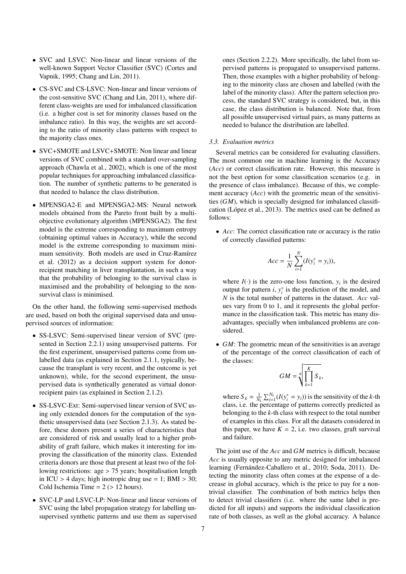- SVC and LSVC: Non-linear and linear versions of the well-known Support Vector Classifier (SVC) (Cortes and Vapnik, 1995; Chang and Lin, 2011).
- CS-SVC and CS-LSVC: Non-linear and linear versions of the cost-sensitive SVC (Chang and Lin, 2011), where different class-weights are used for imbalanced classification (i.e. a higher cost is set for minority classes based on the imbalance ratio). In this way, the weights are set according to the ratio of minority class patterns with respect to the majority class ones.
- SVC+SMOTE and LSVC+SMOTE: Non linear and linear versions of SVC combined with a standard over-sampling approach (Chawla et al., 2002), which is one of the most popular techniques for approaching imbalanced classification. The number of synthetic patterns to be generated is that needed to balance the class distribution.
- MPENSGA2-E and MPENSGA2-MS: Neural network models obtained from the Pareto front built by a multiobjective evolutionary algorithm (MPENSGA2). The first model is the extreme corresponding to maximum entropy (obtaining optimal values in Accuracy), while the second model is the extreme corresponding to maximum minimum sensitivity. Both models are used in Cruz-Ramírez et al. (2012) as a decision support system for donorrecipient matching in liver transplantation, in such a way that the probability of belonging to the survival class is maximised and the probability of belonging to the nonsurvival class is minimised.

On the other hand, the following semi-supervised methods are used, based on both the original supervised data and unsupervised sources of information:

- SS-LSVC: Semi-supervised linear version of SVC (presented in Section 2.2.1) using unsupervised patterns. For the first experiment, unsupervised patterns come from unlabelled data (as explained in Section 2.1.1, typically, because the transplant is very recent, and the outcome is yet unknown), while, for the second experiment, the unsupervised data is synthetically generated as virtual donorrecipient pairs (as explained in Section 2.1.2).
- SS-LSVC-Ext: Semi-supervised linear version of SVC using only extended donors for the computation of the synthetic unsupervised data (see Section 2.1.3). As stated before, these donors present a series of characteristics that are considered of risk and usually lead to a higher probability of graft failure, which makes it interesting for improving the classification of the minority class. Extended criteria donors are those that present at least two of the following restrictions: age > 75 years; hospitalisation length in ICU > 4 days; high inotropic drug use = 1; BMI > 30; Cold Ischemia Time =  $2$  ( $> 12$  hours).
- SVC-LP and LSVC-LP: Non-linear and linear versions of SVC using the label propagation strategy for labelling unsupervised synthetic patterns and use them as supervised

ones (Section 2.2.2). More specifically, the label from supervised patterns is propagated to unsupervised patterns. Then, those examples with a higher probability of belonging to the minority class are chosen and labelled (with the label of the minority class). After the pattern selection process, the standard SVC strategy is considered, but, in this case, the class distribution is balanced. Note that, from all possible unsupervised virtual pairs, as many patterns as needed to balance the distribution are labelled.

# *3.3. Evaluation metrics*

Several metrics can be considered for evaluating classifiers. The most common one in machine learning is the Accuracy (*Acc*) or correct classification rate. However, this measure is not the best option for some classification scenarios (e.g. in the presence of class imbalance). Because of this, we complement accuracy (*Acc*) with the geometric mean of the sensitivities (*GM*), which is specially designed for imbalanced classification (López et al., 2013). The metrics used can be defined as follows:

• *Acc*: The correct classification rate or accuracy is the ratio of correctly classified patterns:

$$
Acc = \frac{1}{N} \sum_{i=1}^{N} (I(y_i^* = y_i)),
$$

where  $I(\cdot)$  is the zero-one loss function,  $y_i$  is the desired output for pattern  $i$ ,  $y_i^*$  is the prediction of the model, and *N* is the total number of patterns in the dataset. *Acc* values vary from 0 to 1, and it represents the global performance in the classification task. This metric has many disadvantages, specially when imbalanced problems are considered.

• *GM*: The geometric mean of the sensitivities is an average of the percentage of the correct classification of each of the classes:

$$
GM = \sqrt[K]{\prod_{k=1}^{K} S_k},
$$

where  $S_k = \frac{1}{N_k} \sum_{i=1}^{N_k} (I(y_i^* = y_i))$  is the sensitivity of the *k*-th class, i.e. the percentage of patterns correctly predicted as belonging to the *k*-th class with respect to the total number of examples in this class. For all the datasets considered in this paper, we have  $K = 2$ , i.e. two classes, graft survival and failure.

The joint use of the *Acc* and *GM* metrics is difficult, because *Acc* is usually opposite to any metric designed for imbalanced learning (Fernández-Caballero et al., 2010; Soda, 2011). Detecting the minority class often comes at the expense of a decrease in global accuracy, which is the price to pay for a nontrivial classifier. The combination of both metrics helps then to detect trivial classifiers (i.e. where the same label is predicted for all inputs) and supports the individual classification rate of both classes, as well as the global accuracy. A balance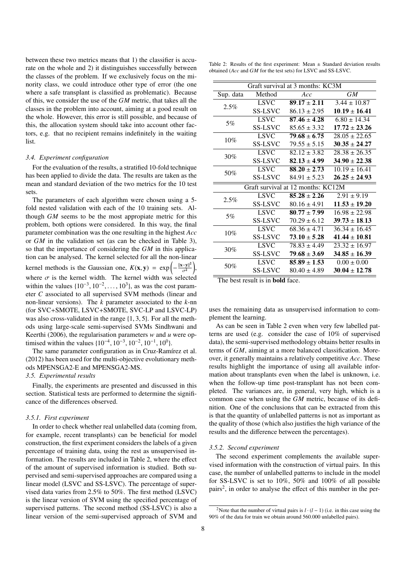between these two metrics means that 1) the classifier is accurate on the whole and 2) it distinguishes successfully between the classes of the problem. If we exclusively focus on the minority class, we could introduce other type of error (the one where a safe transplant is classified as problematic). Because of this, we consider the use of the *GM* metric, that takes all the classes in the problem into account, aiming at a good result on the whole. However, this error is still possible, and because of this, the allocation system should take into account other factors, e.g. that no recipient remains indefinitely in the waiting list.

### *3.4. Experiment configuration*

For the evaluation of the results, a stratified 10-fold technique has been applied to divide the data. The results are taken as the mean and standard deviation of the two metrics for the 10 test sets.

The parameters of each algorithm were chosen using a 5 fold nested validation with each of the 10 training sets. Although *GM* seems to be the most appropiate metric for this problem, both options were considered. In this way, the final parameter combination was the one resulting in the highest *Acc* or *GM* in the validation set (as can be checked in Table 3), so that the importance of considering the *GM* in this application can be analysed. The kernel selected for all the non-linear kernel methods is the Gaussian one,  $K(\mathbf{x}, \mathbf{y}) = \exp\left(-\frac{\|\mathbf{x} - \mathbf{y}\|^2}{\sigma^2}\right)$  $\sigma^2$  , where  $\sigma$  is the kernel width. The kernel width was selected within the values  $\{10^{-3}, 10^{-2}, \ldots, 10^{3}\}$ , as was the cost parameter C associated to all supervised SVM methods (linear and eter *C* associated to all supervised SVM methods (linear and non-linear versions). The *k* parameter associated to the *k*-nn (for SVC+SMOTE, LSVC+SMOTE, SVC-LP and LSVC-LP) was also cross-validated in the range {1, <sup>3</sup>, <sup>5</sup>}. For all the methods using large-scale semi-supervised SVMs Sindhwani and Keerthi (2006), the regularisation parameters *w* and *u* were optimised within the values  $\{10^{-4}, 10^{-3}, 10^{-2}, 10^{-1}, 10^{0}\}$ .<br>The same parameter configuration as in Cruz-Rami

The same parameter configuration as in Cruz-Ramírez et al. (2012) has been used for the multi-objective evolutionary methods MPENSGA2-E and MPENSGA2-MS.

# *3.5. Experimental results*

Finally, the experiments are presented and discussed in this section. Statistical tests are performed to determine the significance of the differences observed.

### *3.5.1. First experiment*

In order to check whether real unlabelled data (coming from, for example, recent transplants) can be beneficial for model construction, the first experiment considers the labels of a given percentage of training data, using the rest as unsupervised information. The results are included in Table 2, where the effect of the amount of supervised information is studied. Both supervised and semi-supervised approaches are compared using a linear model (LSVC and SS-LSVC). The percentage of supervised data varies from 2.5% to 50%. The first method (LSVC) is the linear version of SVM using the specified percentage of supervised patterns. The second method (SS-LSVC) is also a linear version of the semi-supervised approach of SVM and

Table 2: Results of the first experiment: Mean  $\pm$  Standard deviation results obtained (*Acc* and *GM* for the test sets) for LSVC and SS-LSVC.

|           |                | Graft survival at 3 months: KC3M   |                   |
|-----------|----------------|------------------------------------|-------------------|
| Sup. data | Method         | Acc                                | <b>GM</b>         |
| 2.5%      | <b>LSVC</b>    | $89.17 \pm 2.11$                   | $3.44 \pm 10.87$  |
|           | <b>SS-LSVC</b> | $86.13 \pm 2.95$                   | $10.19 \pm 16.41$ |
| 5%        | <b>LSVC</b>    | $87.46 \pm 4.28$                   | $6.80 \pm 14.34$  |
|           | <b>SS-LSVC</b> | $85.65 \pm 3.32$                   | $17.72 \pm 23.26$ |
| $10\%$    | <b>LSVC</b>    | $79.68 \pm 6.75$                   | $28.05 \pm 22.65$ |
|           | <b>SS-LSVC</b> | $79.55 \pm 5.15$                   | $30.35 \pm 24.27$ |
| 30%       | <b>LSVC</b>    | $82.12 \pm 3.82$                   | $28.38 \pm 26.35$ |
|           | <b>SS-LSVC</b> | $82.13 \pm 4.99$                   | $34.90 \pm 22.38$ |
| 50%       | <b>LSVC</b>    | $88.20 \pm 2.73$                   | $10.19 \pm 16.41$ |
|           | <b>SS-LSVC</b> | $84.91 \pm 5.23$                   | $26.25 \pm 24.93$ |
|           |                | Graft survival at 12 months: KC12M |                   |
| 2.5%      | <b>LSVC</b>    | $85.28 \pm 2.26$                   | $2.91 \pm 9.19$   |
|           | <b>SS-LSVC</b> | $80.16 \pm 4.91$                   | $11.53 \pm 19.20$ |
| 5%        | <b>LSVC</b>    | $80.77 \pm 7.99$                   | $16.98 \pm 22.98$ |
|           | <b>SS-LSVC</b> | $70.29 \pm 6.12$                   | $39.73 \pm 18.13$ |
|           | <b>LSVC</b>    | $68.36 \pm 4.71$                   | $36.34 \pm 16.45$ |
| 10%       | <b>SS-LSVC</b> | $73.10 \pm 5.28$                   | $41.44 \pm 10.81$ |
| 30%       | <b>LSVC</b>    | $78.83 \pm 4.49$                   | $23.32 \pm 16.97$ |
|           | <b>SS-LSVC</b> | $79.68 \pm 3.69$                   | $34.85 \pm 16.39$ |
| 50%       | <b>LSVC</b>    | $85.89 \pm 1.53$                   | $0.00 \pm 0.00$   |
|           | <b>SS-LSVC</b> | $80.40 \pm 4.89$                   | $30.04 \pm 12.78$ |
| $T = 1$   | $\blacksquare$ |                                    |                   |

The best result is in bold face.

uses the remaining data as unsupervised information to complement the learning.

As can be seen in Table 2 even when very few labelled patterns are used (e.g. consider the case of 10% of supervised data), the semi-supervised methodology obtains better results in terms of *GM*, aiming at a more balanced classification. Moreover, it generally maintains a relatively competitive *Acc*. These results highlight the importance of using all available information about transplants even when the label is unknown, i.e. when the follow-up time post-transplant has not been completed. The variances are, in general, very high, which is a common case when using the *GM* metric, because of its definition. One of the conclusions that can be extracted from this is that the quantity of unlabelled patterns is not as important as the quality of those (which also justifies the high variance of the results and the difference between the percentages).

### *3.5.2. Second experiment*

The second experiment complements the available supervised information with the construction of virtual pairs. In this case, the number of unlabelled patterns to include in the model for SS-LSVC is set to 10%, 50% and 100% of all possible pairs<sup>2</sup>, in order to analyse the effect of this number in the per-

<sup>&</sup>lt;sup>2</sup>Note that the number of virtual pairs is  $l \cdot (l-1)$  (i.e. in this case using the 90% of the data for train we obtain around 560.000 unlabelled pairs).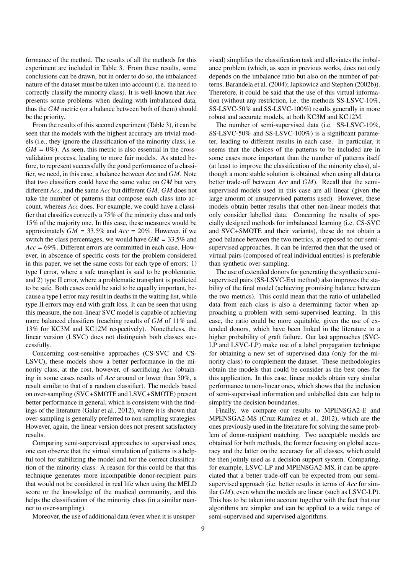formance of the method. The results of all the methods for this experiment are included in Table 3. From these results, some conclusions can be drawn, but in order to do so, the imbalanced nature of the dataset must be taken into account (i.e. the need to correctly classify the minority class). It is well-known that *Acc* presents some problems when dealing with imbalanced data, thus the *GM* metric (or a balance between both of them) should be the priority.

From the results of this second experiment (Table 3), it can be seen that the models with the highest accuracy are trivial models (i.e., they ignore the classification of the minority class, i.e.  $GM = 0\%$ ). As seen, this metric is also essential in the crossvalidation process, leading to more fair models. As stated before, to represent successfully the good performance of a classifier, we need, in this case, a balance between *Acc* and *GM*. Note that two classifiers could have the same value on *GM* but very different *Acc*, and the same *Acc* but different *GM*. *GM* does not take the number of patterns that compose each class into account, whereas *Acc* does. For example, we could have a classifier that classifies correctly a 75% of the minority class and only 15% of the majority one. In this case, these measures would be approximately *GM* <sup>=</sup> <sup>33</sup>.5% and *Acc* <sup>=</sup> 20%. However, if we switch the class percentages, we would have  $GM = 33.5\%$  and *Acc* = 69%. Different errors are committed in each case. However, in abscence of specific costs for the problem considered in this paper, we set the same costs for each type of errors: 1) type I error, where a safe transplant is said to be problematic, and 2) type II error, where a problematic transplant is predicted to be safe. Both cases could be said to be equally important, because a type I error may result in deaths in the waiting list, while type II errors may end with graft loss. It can be seen that using this measure, the non-linear SVC model is capable of achieving more balanced classifiers (reaching results of *GM* of 11% and 13% for KC3M and KC12M respectively). Nonetheless, the linear version (LSVC) does not distinguish both classes successfully.

Concerning cost-sensitive approaches (CS-SVC and CS-LSVC), these models show a better performance in the minority class, at the cost, however, of sacrificing *Acc* (obtaining in some cases results of *Acc* around or lower than 50%, a result similar to that of a random classifier). The models based on over-sampling (SVC+SMOTE and LSVC+SMOTE) present better performance in general, which is consistent with the findings of the literature (Galar et al., 2012), where it is shown that over-sampling is generally preferred to non sampling strategies. However, again, the linear version does not present satisfactory results.

Comparing semi-supervised approaches to supervised ones, one can observe that the virtual simulation of patterns is a helpful tool for stabilizing the model and for the correct classification of the minority class. A reason for this could be that this technique generates more incompatible donor-recipient pairs that would not be considered in real life when using the MELD score or the knowledge of the medical community, and this helps the classification of the minority class (in a similar manner to over-sampling).

Moreover, the use of additional data (even when it is unsuper-

vised) simplifies the classification task and alleviates the imbalance problem (which, as seen in previous works, does not only depends on the imbalance ratio but also on the number of patterns, Barandela et al. (2004); Japkowicz and Stephen (2002b)). Therefore, it could be said that the use of this virtual information (without any restriction, i.e. the methods SS-LSVC-10%, SS-LSVC-50% and SS-LSVC-100%) results generally in more robust and accurate models, at both KC3M and KC12M.

The number of semi-supervised data (i.e. SS-LSVC-10%, SS-LSVC-50% and SS-LSVC-100%) is a significant parameter, leading to different results in each case. In particular, it seems that the choices of the patterns to be included are in some cases more important than the number of patterns itself (at least to improve the classification of the minority class), although a more stable solution is obtained when using all data (a better trade-off between *Acc* and *GM*). Recall that the semisupervised models used in this case are all linear (given the large amount of unsupervised patterns used). However, these models obtain better results that other non-linear models that only consider labelled data. Concerning the results of specially designed methods for imbalanced learning (i.e. CS-SVC and SVC+SMOTE and their variants), these do not obtain a good balance between the two metrics, at opposed to our semisupervised approaches. It can be inferred then that the used of virtual pairs (composed of real individual entities) is preferable than synthetic over-sampling.

The use of extended donors for generating the synthetic semisupervised pairs (SS-LSVC-Ext method) also improves the stability of the final model (achieving promising balance between the two metrics). This could mean that the ratio of unlabelled data from each class is also a determining factor when approaching a problem with semi-supervised learning. In this case, the ratio could be more equitable, given the use of extended donors, which have been linked in the literature to a higher probability of graft failure. Our last approaches (SVC-LP and LSVC-LP) make use of a label propagation technique for obtaining a new set of supervised data (only for the minority class) to complement the dataset. These methodologies obtain the models that could be consider as the best ones for this application. In this case, linear models obtain very similar performance to non-linear ones, which shows that the inclusion of semi-supervised information and unlabelled data can help to simplify the decision boundaries.

Finally, we compare our results to MPENSGA2-E and MPENSGA2-MS (Cruz-Ramírez et al., 2012), which are the ones previously used in the literature for solving the same problem of donor-recipient matching. Two acceptable models are obtained for both methods, the former focusing on global accuracy and the latter on the accuracy for all classes, which could be then jointly used as a decision support system. Comparing, for example, LSVC-LP and MPENSGA2-MS, it can be appreciated that a better trade-off can be expected from our semisupervised approach (i.e. better results in terms of *Acc* for similar *GM*), even when the models are linear (such as LSVC-LP). This has to be taken into account together with the fact that our algorithms are simpler and can be applied to a wide range of semi-supervised and supervised algorithms.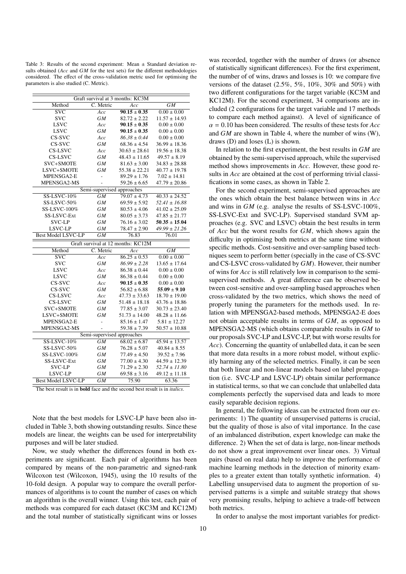Table 3: Results of the second experiment: Mean ± Standard deviation results obtained (*Acc* and *GM* for the test sets) for the different methodologies considered. The effect of the cross-validation metric used for optimising the parameters is also studied (C. Metric).

|                                                                                          |                            | Graft survival at 3 months: KC3M   |                   |  |  |  |  |  |  |  |  |  |  |
|------------------------------------------------------------------------------------------|----------------------------|------------------------------------|-------------------|--|--|--|--|--|--|--|--|--|--|
| Method                                                                                   | C. Metric                  | Acc                                | GM                |  |  |  |  |  |  |  |  |  |  |
| $\overline{\text{SVC}}$                                                                  | Acc                        | $90.15 \pm 0.35$                   | $0.00 \pm 0.00$   |  |  |  |  |  |  |  |  |  |  |
| <b>SVC</b>                                                                               | GМ                         | $82.72 \pm 2.22$                   | $11.57 \pm 14.93$ |  |  |  |  |  |  |  |  |  |  |
| <b>LSVC</b>                                                                              | Acc                        | $90.15 \pm 0.35$                   | $0.00 \pm 0.00$   |  |  |  |  |  |  |  |  |  |  |
| <b>LSVC</b>                                                                              | <b>GM</b>                  | $90.15 \pm 0.35$                   | $0.00 \pm 0.00$   |  |  |  |  |  |  |  |  |  |  |
| CS-SVC                                                                                   | Acc                        | $86.38 \pm 0.44$                   | $0.00 \pm 0.00$   |  |  |  |  |  |  |  |  |  |  |
| CS-SVC                                                                                   | GМ                         | $68.36 \pm 4.54$                   | $36.99 \pm 18.36$ |  |  |  |  |  |  |  |  |  |  |
| CS-LSVC                                                                                  | Acc                        | $30.63 \pm 28.61$                  | $19.56 \pm 18.38$ |  |  |  |  |  |  |  |  |  |  |
| CS-LSVC                                                                                  | <b>GM</b>                  | $48.43 \pm 11.65$                  | $49.57 \pm 8.19$  |  |  |  |  |  |  |  |  |  |  |
| SVC+SMOTE                                                                                | GМ                         | $81.63 \pm 3.00$                   | $34.83 \pm 28.88$ |  |  |  |  |  |  |  |  |  |  |
| LSVC+SMOTE                                                                               | GМ                         | $55.38 \pm 22.21$                  | $40.77 \pm 19.78$ |  |  |  |  |  |  |  |  |  |  |
| MPENSGA2-E                                                                               | $\overline{a}$             | $89.29 \pm 1.76$                   | $7.02 \pm 14.81$  |  |  |  |  |  |  |  |  |  |  |
| MPENSGA2-MS                                                                              |                            | $59.26 \pm 6.65$                   | $47.79 \pm 20.86$ |  |  |  |  |  |  |  |  |  |  |
|                                                                                          | Semi-supervised approaches |                                    |                   |  |  |  |  |  |  |  |  |  |  |
| SS-LSVC-10%                                                                              | <b>GM</b>                  | $79.07 \pm 4.73$                   | $40.33 \pm 24.52$ |  |  |  |  |  |  |  |  |  |  |
| SS-LSVC-50%                                                                              | GМ                         | $69.59 \pm 5.92$                   | $52.41 \pm 16.88$ |  |  |  |  |  |  |  |  |  |  |
| SS-LSVC-100%                                                                             | <b>GM</b>                  | $80.53 \pm 4.06$                   | $41.02 \pm 25.09$ |  |  |  |  |  |  |  |  |  |  |
| SS-LSVC-Ext                                                                              | GМ                         | $80.05 \pm 3.73$                   | $47.85 \pm 21.77$ |  |  |  |  |  |  |  |  |  |  |
| <b>SVC-LP</b>                                                                            | GМ                         | $76.16 \pm 3.02$                   | $50.35 \pm 15.04$ |  |  |  |  |  |  |  |  |  |  |
| LSVC-LP                                                                                  | GМ                         | $78.47 \pm 2.90$                   | $49.99 \pm 21.26$ |  |  |  |  |  |  |  |  |  |  |
| <b>Best Model LSVC-LP</b>                                                                | $\overline{GM}$            | 76.83                              | 76.01             |  |  |  |  |  |  |  |  |  |  |
|                                                                                          |                            | Graft survival at 12 months: KC12M |                   |  |  |  |  |  |  |  |  |  |  |
| Method                                                                                   | C. Metric                  | Acc                                | $\overline{GM}$   |  |  |  |  |  |  |  |  |  |  |
| $\overline{\text{SVC}}$                                                                  | Acc                        | $86.25 \pm 0.53$                   | $0.00 \pm 0.00$   |  |  |  |  |  |  |  |  |  |  |
| <b>SVC</b>                                                                               | GМ                         | $86.99 \pm 2.28$                   | $13.65 \pm 17.64$ |  |  |  |  |  |  |  |  |  |  |
| <b>LSVC</b>                                                                              | Acc                        | $86.38 \pm 0.44$                   | $0.00 \pm 0.00$   |  |  |  |  |  |  |  |  |  |  |
| <b>LSVC</b>                                                                              | <b>GM</b>                  | $86.38 \pm 0.44$                   | $0.00 \pm 0.00$   |  |  |  |  |  |  |  |  |  |  |
| CS-SVC                                                                                   | Acc                        | $90.15 \pm 0.35$                   | $0.00 \pm 0.00$   |  |  |  |  |  |  |  |  |  |  |
| CS-SVC                                                                                   | <b>GM</b>                  | $56.82 \pm 6.88$                   | $55.09 \pm 9.10$  |  |  |  |  |  |  |  |  |  |  |
| CS-LSVC                                                                                  | Acc                        | $47.73 \pm 33.63$                  | $18.70 \pm 19.00$ |  |  |  |  |  |  |  |  |  |  |
| CS-LSVC                                                                                  | GМ                         | $51.48 \pm 18.18$                  | $43.76 \pm 18.86$ |  |  |  |  |  |  |  |  |  |  |
| SVC+SMOTE                                                                                | GМ                         | $77.85 \pm 3.07$                   | $30.73 \pm 23.40$ |  |  |  |  |  |  |  |  |  |  |
| LSVC+SMOTE                                                                               | <b>GM</b>                  | $51.73 \pm 14.00$                  | $48.28 \pm 11.66$ |  |  |  |  |  |  |  |  |  |  |
| MPENSGA2-E                                                                               | $\overline{a}$             | $85.16 \pm 1.47$                   | $5.81 \pm 12.27$  |  |  |  |  |  |  |  |  |  |  |
| MPENSGA2-MS                                                                              |                            | $59.38 \pm 7.39$                   | $50.57 \pm 10.88$ |  |  |  |  |  |  |  |  |  |  |
|                                                                                          | Semi-supervised approaches |                                    |                   |  |  |  |  |  |  |  |  |  |  |
| <b>SS-LSVC-10%</b>                                                                       | GМ                         | $68.02 \pm 6.87$                   | $45.94 \pm 13.57$ |  |  |  |  |  |  |  |  |  |  |
| SS-LSVC-50%                                                                              | <b>GM</b>                  | $76.28 \pm 5.07$                   | $40.84 \pm 8.55$  |  |  |  |  |  |  |  |  |  |  |
| SS-LSVC-100%                                                                             | <b>GM</b>                  | $77.49 \pm 4.50$                   | $39.52 \pm 7.96$  |  |  |  |  |  |  |  |  |  |  |
| SS-LSVC-Ext                                                                              | GМ                         | $77.00 \pm 4.30$                   | $44.59 \pm 12.39$ |  |  |  |  |  |  |  |  |  |  |
| <b>SVC-LP</b>                                                                            | GМ                         | $71.29 \pm 2.30$                   | $52.74 \pm 11.80$ |  |  |  |  |  |  |  |  |  |  |
| LSVC-LP                                                                                  | GМ                         | $69.58 \pm 3.16$                   | $49.12 \pm 11.18$ |  |  |  |  |  |  |  |  |  |  |
| <b>Best Model LSVC-LP</b>                                                                | $\overline{GM}$            | 75.90                              | 63.36             |  |  |  |  |  |  |  |  |  |  |
| The best result is in <b>bold</b> face and the second best result is in <i>italics</i> . |                            |                                    |                   |  |  |  |  |  |  |  |  |  |  |

Note that the best models for LSVC-LP have been also included in Table 3, both showing outstanding results. Since these models are linear, the weights can be used for interpretability purposes and will be later studied.

Now, we study whether the differences found in both experiments are significant. Each pair of algorithms has been compared by means of the non-parametric and signed-rank Wilcoxon test (Wilcoxon, 1945), using the 10 results of the 10-fold design. A popular way to compare the overall performances of algorithms is to count the number of cases on which an algorithm is the overall winner. Using this test, each pair of methods was compared for each dataset (KC3M and KC12M) and the total number of statistically significant wins or losses

was recorded, together with the number of draws (or absence of statistically significant differences). For the first experiment, the number of of wins, draws and losses is 10: we compare five versions of the dataset (2.5%, 5%, 10%, 30% and 50%) with two different configurations for the target variable (KC3M and KC12M). For the second experiment, 34 comparisons are included (2 configurations for the target variable and 17 methods to compare each method against). A level of significance of  $\alpha = 0.10$  has been considered. The results of these tests for *Acc* and *GM* are shown in Table 4, where the number of wins (W), draws (D) and loses (L) is shown.

In relation to the first experiment, the best results in *GM* are obtained by the semi-supervised approach, while the supervised method shows improvements in *Acc*. However, these good results in *Acc* are obtained at the cost of performing trivial classifications in some cases, as shown in Table 2.

For the second experiment, semi-supervised approaches are the ones which obtain the best balance between wins in *Acc* and wins in *GM* (e.g. analyse the results of SS-LSVC-100%, SS-LSVC-Ext and SVC-LP). Supervised standard SVM approaches (e.g. SVC and LSVC) obtain the best results in term of *Acc* but the worst results for *GM*, which shows again the difficulty in optimising both metrics at the same time without specific methods. Cost-sensitive and over-sampling based techniques seem to perform better (specially in the case of CS-SVC and CS-LSVC cross-validated by *GM*). However, their number of wins for *Acc* is still relatively low in comparison to the semisupervised methods. A great difference can be observed between cost-sensitive and over-sampling based approaches when cross-validated by the two metrics, which shows the need of properly tuning the parameters for the methods used. In relation with MPENSGA2-based methods, MPENSGA2-E does not obtain acceptable results in terms of *GM*, as opposed to MPENSGA2-MS (which obtains comparable results in *GM* to our proposals SVC-LP and LSVC-LP, but with worse results for *Acc*). Concerning the quantity of unlabelled data, it can be seen that more data results in a more robust model, without explicitly harming any of the selected metrics. Finally, it can be seen that both linear and non-linear models based on label propagation (i.e. SVC-LP and LSVC-LP) obtain similar performance in statistical terms, so that we can conclude that unlabelled data complements perfectly the supervised data and leads to more easily separable decision regions.

In general, the following ideas can be extracted from our experiments: 1) The quantity of unsupervised patterns is crucial, but the quality of those is also of vital importance. In the case of an imbalanced distribution, expert knowledge can make the difference. 2) When the set of data is large, non-linear methods do not show a great improvement over linear ones. 3) Virtual pairs (based on real data) help to improve the performance of machine learning methods in the detection of minority examples to a greater extent than totally synthetic information. 4) Labelling unsupervised data to augment the proportion of supervised patterns is a simple and suitable strategy that shows very promising results, helping to achieve a trade-off between both metrics.

In order to analyse the most important variables for predict-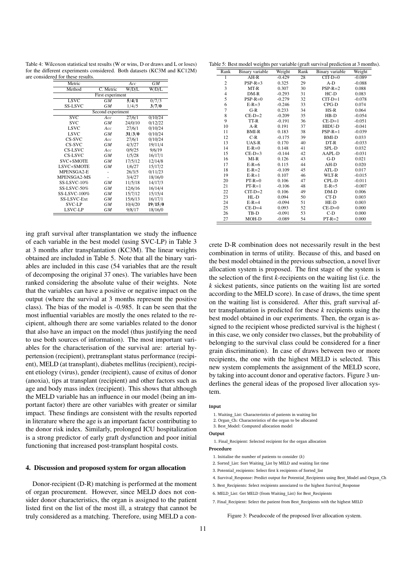Table 4: Wilcoxon statistical test results (W or wins, D or draws and L or loses) for the different experiments considered. Both datasets (KC3M and KC12M) are considered for these results.

| Metric                          |           | Acc     | GМ      |  |  |  |  |  |  |  |  |  |
|---------------------------------|-----------|---------|---------|--|--|--|--|--|--|--|--|--|
| Method                          | C. Metric | W/D/L   | W/D/L   |  |  |  |  |  |  |  |  |  |
| First experiment                |           |         |         |  |  |  |  |  |  |  |  |  |
| <b>LSVC</b>                     | GМ        | 5/4/1   | 0/7/3   |  |  |  |  |  |  |  |  |  |
| <b>SS-LSVC</b>                  | GМ        | 1/4/5   | 3/7/0   |  |  |  |  |  |  |  |  |  |
| Second experiment               |           |         |         |  |  |  |  |  |  |  |  |  |
| SVC<br>27/6/1<br>0/10/24<br>Acc |           |         |         |  |  |  |  |  |  |  |  |  |
| <b>SVC</b>                      | GМ        | 24/0/10 | 0/12/22 |  |  |  |  |  |  |  |  |  |
| <b>LSVC</b>                     | Acc       | 27/6/1  | 0/10/24 |  |  |  |  |  |  |  |  |  |
| <b>LSVC</b>                     | GМ        | 31/3/0  | 0/10/24 |  |  |  |  |  |  |  |  |  |
| CS-SVC                          | Acc       | 27/6/1  | 0/10/24 |  |  |  |  |  |  |  |  |  |
| CS-SVC                          | <b>GM</b> | 4/3/27  | 19/11/4 |  |  |  |  |  |  |  |  |  |
| CS-LSVC                         | Acc       | 0/9/25  | 9/6/19  |  |  |  |  |  |  |  |  |  |
| CS-LSVC                         | GМ        | 1/5/28  | 16/17/1 |  |  |  |  |  |  |  |  |  |
| SVC+SMOTE                       | GМ        | 17/5/12 | 12/14/8 |  |  |  |  |  |  |  |  |  |
| LSVC+SMOTE                      | <b>GM</b> | 1/6/27  | 15/17/2 |  |  |  |  |  |  |  |  |  |
| MPENSGA2-E                      |           | 26/3/5  | 0/11/23 |  |  |  |  |  |  |  |  |  |
| MPENSGA2-MS                     |           | 3/4/27  | 18/16/0 |  |  |  |  |  |  |  |  |  |
| <b>SS-LSVC-10%</b>              | GM        | 11/5/18 | 14/17/3 |  |  |  |  |  |  |  |  |  |
| SS-LSVC-50%                     | GМ        | 12/6/16 | 16/14/4 |  |  |  |  |  |  |  |  |  |
| SS-LSVC-100%                    | GМ        | 15/7/12 | 15/15/4 |  |  |  |  |  |  |  |  |  |
| <b>SS-LSVC-Ext</b>              | GМ        | 15/6/13 | 16/17/1 |  |  |  |  |  |  |  |  |  |
| <b>SVC-LP</b>                   | GМ        | 10/4/20 | 19/15/0 |  |  |  |  |  |  |  |  |  |
| LSVC-LP                         | <b>GM</b> | 9/8/17  | 18/16/0 |  |  |  |  |  |  |  |  |  |

ing graft survival after transplantation we study the influence of each variable in the best model (using SVC-LP) in Table 3 at 3 months after transplantation (KC3M). The linear weights obtained are included in Table 5. Note that all the binary variables are included in this case (54 variables that are the result of decomposing the original 37 ones). The variables have been ranked considering the absolute value of their weights. Note that the variables can have a positive or negative impact on the output (where the survival at 3 months represent the positive class). The bias of the model is -0.985. It can be seen that the most influential variables are mostly the ones related to the recipient, although there are some variables related to the donor that also have an impact on the model (thus justifying the need to use both sources of information). The most important variables for the characterisation of the survival are: arterial hypertension (recipient), pretransplant status performance (recipient), MELD (at transplant), diabetes mellitus (recipient), recipient etiology (virus), gender (recipient), cause of exitus of donor (anoxia), tips at transplant (recipient) and other factors such as age and body mass index (recipient). This shows that although the MELD variable has an influence in our model (being an important factor) there are other variables with greater or similar impact. These findings are consistent with the results reported in literature where the age is an important factor contributing to the donor risk index. Similarly, prolonged ICU hospitalization is a strong predictor of early graft dysfunction and poor initial functioning that increased post-transplant hospital costs.

#### 4. Discussion and proposed system for organ allocation

Donor-recipient (D-R) matching is performed at the moment of organ procurement. However, since MELD does not consider donor characteristics, the organ is assigned to the patient listed first on the list of the most ill, a strategy that cannot be truly considered as a matching. Therefore, using MELD a con-

Table 5: Best model weights per variable (graft survival prediction at 3 months).

| Rank           | <b>Binary</b> variable | Weight   | Rank | Binary variable | Weight   |
|----------------|------------------------|----------|------|-----------------|----------|
| 1              | $AH-R$                 | $-0.429$ | 28   | $CIT-D=0$       | $-0.089$ |
| $\frac{2}{3}$  | $PSP-R=3$              | 0.325    | 29   | $A-D$           | $-0.088$ |
|                | MT-R                   | 0.307    | 30   | $PSP-R=2$       | 0.088    |
| $\overline{4}$ | $DM-R$                 | $-0.293$ | 31   | $HC-D$          | 0.083    |
| 5              | $PSP-R=0$              | $-0.279$ | 32   | $CTT-D=1$       | $-0.078$ |
| 6              | $E-R=3$                | $-0.246$ | 33   | CPG-D           | 0.074    |
| $\overline{7}$ | $G-R$                  | 0.233    | 34   | $HS-R$          | 0.064    |
| 8              | $CE-D=2$               | $-0.209$ | 35   | $HB-D$          | $-0.054$ |
| 9              | TT-R                   | $-0.191$ | 36   | $CE-D=1$        | $-0.051$ |
| 10             | $A-R$                  | 0.191    | 37   | HIDU-D          | $-0.041$ |
| 11             | <b>BMI-R</b>           | 0.183    | 38   | $PSP-R=1$       | $-0.039$ |
| 12             | $C-R$                  | $-0.175$ | 39   | <b>BMI-D</b>    | 0.033    |
| 13             | <b>UAS-R</b>           | 0.170    | 40   | DT-R            | $-0.033$ |
| 14             | $E-R=0$                | 0.148    | 41   | SPL-D           | 0.032    |
| 15             | $CE-D=3$               | $-0.144$ | 42   | AAPL-D          | $-0.031$ |
| 16             | $MI-R$                 | 0.126    | 43   | $G-D$           | 0.021    |
| 17             | $E-R=6$                | 0.115    | 44   | AH-D            | 0.020    |
| 18             | $E-R=2$                | $-0.109$ | 45   | ATL-D           | 0.017    |
| 19             | $E-R=1$                | 0.107    | 46   | WLT-R           | $-0.015$ |
| 20             | $PT-R=0$               | 0.106    | 47   | CPL-D           | $-0.011$ |
| 21             | $PT-R=1$               | $-0.106$ | 48   | $E-R=5$         | $-0.007$ |
| 22             | $CIT-D=2$              | 0.106    | 49   | $DM-D$          | 0.006    |
| 23             | $HL-D$                 | 0.094    | 50   | $CT-D$          | 0.003    |
| 24             | $E-R=4$                | $-0.094$ | 51   | HE-D            | 0.003    |
| 25             | $CE-D=4$               | 0.093    | 52   | $CE-D=0$        | 0.000    |
| 26             | TB-D                   | $-0.091$ | 53   | $C-D$           | 0.000    |
| 27             | MOH-D                  | $-0.089$ | 54   | $PT-R=2$        | 0.000    |

crete D-R combination does not necessarily result in the best combination in terms of utility. Because of this, and based on the best model obtained in the previous subsection, a novel liver allocation system is proposed. The first stage of the system is the selection of the first *k*-recipients on the waiting list (i.e. the *k* sickest patients, since patients on the waiting list are sorted according to the MELD score). In case of draws, the time spent on the waiting list is considered. After this, graft survival after transplantation is predicted for these *k* recipients using the best model obtained in our experiments. Then, the organ is assigned to the recipient whose predicted survival is the highest ( in this case, we only consider two classes, but the probability of belonging to the survival class could be considered for a finer grain discrimination). In case of draws between two or more recipients, the one with the highest MELD is selected. This new system complements the assignment of the MELD score, by taking into account donor and operative factors. Figure 3 underlines the general ideas of the proposed liver allocation system.

### Input

- 1. Waiting\_List: Characteristics of patients in waiting list
- 2. Organ\_Ch: Characteristics of the organ to be allocated
- 3. Best\_Model: Computed allocation model

### **Output**

1. Final\_Recipient: Selected recipient for the organ allocation

- Procedure
	- 1. Initialise the number of patients to consider (k)
- 2. Sorted\_List: Sort Waiting\_List by MELD and waiting list time
- 3. Potential recipients: Select first k recipients of Sorted list
- 4. Survival Response: Predict output for Potential Recipients using Best Model and Organ Ch
- 5. Best\_Recipients: Select recipients associated to the highest Survival\_Response
- 6. MELD\_List: Get MELD (from Waiting\_List) for Best\_Recipients
- 7. Final\_Recipient: Select the patient from Best\_Recipients with the highest MELD

#### Figure 3: Pseudocode of the proposed liver allocation system.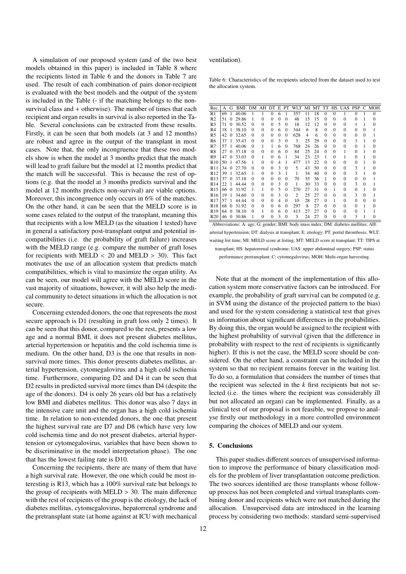A simulation of our proposed system (and of the two best models obtained in this paper) is included in Table 8 where the recipients listed in Table 6 and the donors in Table 7 are used. The result of each combination of pairs donor-recipient is evaluated with the best models and the output of the system is included in the Table (- if the matching belongs to the nonsurvival class and + otherwise). The number of times that each recipient and organ results in survival is also reported in the Table. Several conclusions can be extracted from these results. Firstly, it can be seen that both models (at 3 and 12 months) are robust and agree in the output of the transplant in most cases. Note that, the only incongruence that these two models show is when the model at 3 months predict that the match will lead to graft failure but the model at 12 months predict that the match will be successful. This is because the rest of options (e.g. that the model at 3 months predicts survival and the model at 12 months predicts non-survival) are viable options. Moreover, this incongruence only occurs in 6% of the matches. On the other hand, it can be seen that the MELD score is in some cases related to the output of the transplant, meaning this that recipients with a low MELD (as the situation 1 tested) have in general a satisfactory post-transplant output and potential incompatibilities (i.e. the probability of graft failure) increases with the MELD range (e.g. compare the number of graft loses for recipients with MELD  $<$  20 and MELD  $>$  30). This fact motivates the use of an allocation system that predicts match compatibilities, which is vital to maximize the organ utility. As can be seen, our model will agree with the MELD score in the vast majority of situations, however, it will also help the medical community to detect situations in which the allocation is not secure.

Concerning extended donors, the one that represents the most secure approach is D1 (resulting in graft loss only 2 times). It can be seen that this donor, compared to the rest, presents a low age and a normal BMI, it does not present diabetes mellitus, arterial hypertension or hepatitis and the cold ischemia time is medium. On the other hand, D3 is the one that results in nonsurvival more times. This donor presents diabetes mellitus, arterial hypertension, cytomegalovirus and a high cold ischemia time. Furthermore, comparing D2 and D4 it can be seen that D2 results in predicted survival more times than D4 (despite the age of the donors). D4 is only 26 years old but has a relatively low BMI and diabetes mellitus. This donor was also 7 days in the intensive care unit and the organ has a high cold ischemia time. In relation to non-extended donors, the one that present the highest survival rate are D7 and D8 (which have very low cold ischemia time and do not present diabetes, arterial hypertension or cytomegalovirus, variables that have been shown to be discriminative in the model interpretation phase). The one that has the lowest failing rate is D10.

Concerning the recipients, there are many of them that have a high survival rate. However, the one which could be most interesting is R13, which has a 100% survival rate but belongs to the group of recipients with  $MELD > 30$ . The main difference with the rest of recipients of the group is the etiology, the lack of diabetes mellitus, cytomegalovirus, hepatorrenal syndrome and the pretransplant state (at home against at ICU with mechanical

ventilation).

Table 6: Characteristics of the recipients selected from the dataset used to test the allocation system.

| Rec.            | А  | G        | BMI   | DМ       | AH       | DТ       | E        | PT           | WLT | МI | MT | TT       | HS           | <b>UAS</b> | <b>PSP</b>   | C        | MOH      |
|-----------------|----|----------|-------|----------|----------|----------|----------|--------------|-----|----|----|----------|--------------|------------|--------------|----------|----------|
| R1              | 69 | 1        | 40.06 |          |          | $\theta$ | 6        | 1            | 357 | 11 | 18 | $\Omega$ | $\theta$     |            | $\theta$     |          | $\theta$ |
| R <sub>2</sub>  | 51 | 0        | 29.86 |          | $\theta$ | $\Omega$ | $\Omega$ | 0            | 48  | 15 | 15 | $\theta$ | $\theta$     | $\theta$   | $\Omega$     |          | $\theta$ |
| R <sub>3</sub>  | 71 | 0        | 30.52 | $\theta$ | $\theta$ | $\Omega$ | 5        | $\theta$     | 18  | 12 | 12 | $\Omega$ | $\Omega$     | $\theta$   |              |          | $\Omega$ |
| R <sub>4</sub>  | 18 | 1        | 38.10 | $\Omega$ | $\Omega$ | $\Omega$ | 6        | $\Omega$     | 344 | 6  | 8  | $\theta$ | $\Omega$     | $\theta$   | $\theta$     | $\Omega$ |          |
| R <sub>5</sub>  | 42 | $\Omega$ | 32.65 | $\theta$ | $\Omega$ | $\Omega$ | $\theta$ | $\Omega$     | 628 | 4  | 6  | $\Omega$ | $\Omega$     | $\theta$   | $\theta$     | $\theta$ |          |
| R6              | 37 | 1        | 35.43 | $\Omega$ | $\Omega$ | 0        | 3        | $\mathbf{0}$ | 3   | 25 | 29 | $\Omega$ | $\Omega$     | $\Omega$   | 3            | 1        | $\Omega$ |
| R7              | 57 |          | 40.06 | $\theta$ | 1        | 1        | 6        | $\Omega$     | 768 | 24 | 26 | $\Omega$ | $\Omega$     | $\Omega$   | $\theta$     |          | 0        |
| R8              | 27 | $\Omega$ | 37.18 | $\theta$ | $\theta$ | $\theta$ | 6        | 0            | 84  | 25 | 24 | $\theta$ | $\theta$     | 1          | $\Omega$     | 1        | 0        |
| R9              | 47 | $\Omega$ | 33.03 | $\Omega$ | 1        | $\Omega$ | 6        | 1            | 34  | 23 | 23 | 1        | $\Omega$     |            | $\theta$     |          | 0        |
| R10             | 50 | 1        | 47.56 |          | 0        | 0        | 4        | 1            | 477 | 13 | 22 | $\Omega$ | $\Omega$     | $\Omega$   | $\mathbf{0}$ | 1        | 0        |
| R11             | 34 | $\Omega$ | 27.70 | $\theta$ | $\Omega$ | $\Omega$ | 3        | $\Omega$     | 5   | 43 | 50 | $\Omega$ | $\Omega$     | $\Omega$   | 3            |          | 0        |
| R <sub>12</sub> | 39 | 1        | 32.65 | 1        | $\Omega$ | $\Omega$ | 3        | 1            | 1   | 34 | 40 | $\theta$ | $\theta$     | $\theta$   | 3            | 1        | 0        |
| R13             | 37 | $\Omega$ | 37.18 | $\Omega$ | $\Omega$ | 0        | $\Omega$ | $\Omega$     | 70  | 35 | 36 | 1        | $\Omega$     | $\Omega$   | $\theta$     | $\Omega$ |          |
| R14             | 22 | 1        | 44.44 | $\theta$ | $\theta$ | $\Omega$ | 3        | $\mathbf{0}$ | 1   | 30 | 33 | $\Omega$ | $\Omega$     | $\theta$   | 3            | $\Omega$ |          |
| R <sub>15</sub> | 66 | $\Omega$ | 31.92 |          | 1        | 0        | 5        | $\Omega$     | 270 | 27 | 31 | $\theta$ | 1            | $\Omega$   | $\mathbf{0}$ | 1        | 0        |
| R <sub>16</sub> | 19 | 1        | 34.60 | $\Omega$ | $\Omega$ | $\Omega$ | 3        | $\Omega$     | 2   | 25 | 27 | $\Omega$ | $\Omega$     | $\Omega$   | 3            | $\Omega$ |          |
| R <sub>17</sub> | 57 | 1        | 44.44 | $\Omega$ | $\Omega$ | 0        | 4        | 0            | 10  | 28 | 27 | $\Omega$ | 1            | $\theta$   | $\mathbf{0}$ | $\Omega$ | $\Omega$ |
| R <sub>18</sub> | 68 | $\Omega$ | 31.92 | $\theta$ | $\theta$ | $\theta$ | 6        | $\Omega$     | 297 | 8  | 27 | $\theta$ | $\theta$     | $\theta$   | $\theta$     | 1        | 0        |
| R <sub>19</sub> | 64 | $\Omega$ | 38.10 | $\theta$ | 1        | $\Omega$ | 6        | $\Omega$     | 413 | 27 | 27 | $\Omega$ | $\Omega$     | $\theta$   | $\theta$     |          |          |
| R <sub>20</sub> | 46 | $\Omega$ | 30.86 | 1        | $\theta$ | $\Omega$ | 3        | $\mathbf{0}$ | 3   | 24 | 27 | $\Omega$ | $\mathbf{0}$ | $\theta$   | 3            | 1        | 0        |

Abbreviations: A: age; G: gender; BMI: body mass index; DM: diabetes mellitus; AH: arterial hypertension; DT: dialysis at transplant; E: etiology; PT: portal thrombosis; WLT: waiting list time; MI: MELD score at listing; MT: MELD score at transplant; TT: TIPS at transplant; HS: hepatorrenal syndrome; UAS: upper abdominal surgery; PSP: status performance pretransplant; C: cytomegalovirus; MOH: Multi-organ harvesting.

Note that at the moment of the implementation of this allocation system more conservative factors can be introduced. For example, the probability of graft survival can be computed (e.g. in SVM using the distance of the projected pattern to the bias) and used for the system considering a statistical test that gives us information about significant differences in the probabilities. By doing this, the organ would be assigned to the recipient with the highest probability of survival (given that the difference in probability with respect to the rest of recipients is significantly higher). If this is not the case, the MELD score should be considered. On the other hand, a constraint can be included in the system so that no recipient remains forever in the waiting list. To do so, a formulation that considers the number of times that the recipient was selected in the *k* first recipients but not selected (i.e. the times where the recipient was considerably ill but not allocated an organ) can be implemented. Finally, as a clinical test of our proposal is not feasible, we propose to analyse firstly our methodology in a more controlled environment comparing the choices of MELD and our system.

# 5. Conclusions

This paper studies different sources of unsupervised information to improve the performance of binary classification models for the problem of liver transplantation outcome prediction. The two sources identified are those transplants whose followup process has not been completed and virtual transplants combining donor and recipients which were not matched during the allocation. Unsupervised data are introduced in the learning process by considering two methods: standard semi-supervised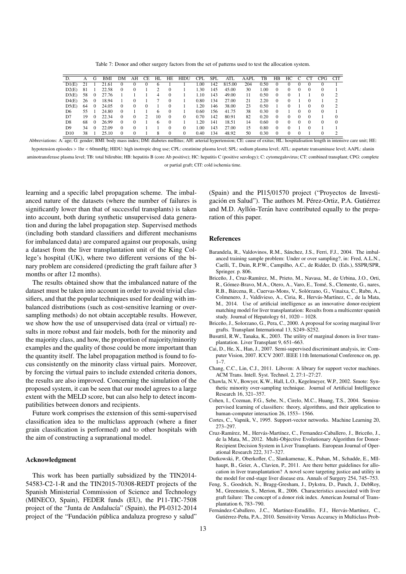Table 7: Donor and other surgery factors from the set of patterns used to test the allocation system.

| D.              | А  | G        | BMI   | DΜ       | AН       | СE | HL | HE       | <b>HIDU</b> | <b>CPL</b> | <b>SPL</b> | ATL    | AAPL | TB   | HB       | HС       |            | CT       | CPG      | <b>CIT</b> |
|-----------------|----|----------|-------|----------|----------|----|----|----------|-------------|------------|------------|--------|------|------|----------|----------|------------|----------|----------|------------|
| D1(E)           | 21 |          | 21.61 |          |          | 0  | o  |          |             | 00.1       | 142        | 815.00 | 204  | 0.50 | 0        |          |            |          |          |            |
| D2(E)           | 81 |          | 22.58 | $\Omega$ | $\Omega$ |    |    | $\Omega$ |             | 1.30       | 145        | 45.00  | 30   | 1.00 | $\Omega$ | $\Omega$ | $\Omega$   | $\theta$ | $\theta$ |            |
| D3(E)           | 58 | $\Omega$ | 27.76 |          |          |    | 4  | $\Omega$ |             | 1.10       | 143        | 49.00  | 11   | 0.50 | $\Omega$ | $\Omega$ |            |          | $\Omega$ |            |
| D4(E)           | 26 | $\Omega$ | 18.94 |          |          |    |    | $\Omega$ |             | 0.80       | 134        | 27.00  | 21   | 2.20 | $\Omega$ |          |            |          |          |            |
| D5(E)           | 64 | $\Omega$ | 24.05 | $_{0}$   | $^{(1)}$ | 0  |    | $\Omega$ |             | 1.20       | 146        | 38.00  | 23   | 0.50 |          |          |            | $\theta$ | $\Omega$ |            |
| D6              | 55 |          | 24.80 | $\Omega$ |          |    | h  | $\Omega$ |             | 0.60       | 156        | 41.75  | 38   | 0.30 | $\Omega$ |          | $^{\circ}$ | $\Omega$ | $\theta$ |            |
| D <sub>7</sub>  | 19 | $\Omega$ | 22.34 | 0        | $\Omega$ | 2  | 10 | $\Omega$ | 0           | 0.70       | 142        | 80.91  | 82   | 0.20 | $\Omega$ | 0        | $\Omega$   | $\Omega$ |          |            |
| D <sub>8</sub>  | 68 | $\Omega$ | 26.99 | 0        |          |    | h  | $\Omega$ |             | 1.20       | 141        | 18.51  | 14   | 0.60 | $\Omega$ | $\Omega$ |            | $\Omega$ | $\Omega$ |            |
| D <sub>9</sub>  | 34 | $\Omega$ | 22.09 | 0        |          |    |    | $\Omega$ | 0           | 00.1       | 143        | 27.00  | 15   | 0.80 | $\Omega$ | 0        |            |          |          |            |
| D <sub>10</sub> | 38 |          | 25.10 | $\Omega$ |          |    | 8  | $\Omega$ | 0           | 0.40       | 134        | 48.92  | 50   | 0.30 | $\Omega$ | $\Omega$ | $\Omega$   |          | $\Omega$ |            |

Abbreviations: A: age; G: gender; BMI: body mass index; DM: diabetes mellitus; AH: arterial hypertension; CE: cause of exitus; HL: hospitalisation length in intensive care unit; HE: hypotension episodes > 1hr < 60mmHg; HIDU: high inotropic drug use; CPL: creatinine plasma level; SPL: sodium plasma level; ATL: aspartate transaminase level; AAPL: alanin

aminotransferase plasma level; TB: total bilirubin; HB: hepatitis B (core Ab positive); HC: hepatitis C (positive serology); C: cytomegalovirus; CT: combined transplant; CPG: complete

or partial graft; CIT: cold ischemia time.

learning and a specific label propagation scheme. The imbalanced nature of the datasets (where the number of failures is significantly lower than that of successful transplants) is taken into account, both during synthetic unsupervised data generation and during the label propagation step. Supervised methods (including both standard classifiers and different mechanisms for imbalanced data) are compared against our proposals, using a dataset from the liver transplantation unit of the King College's hospital (UK), where two different versions of the binary problem are considered (predicting the graft failure after 3 months or after 12 months).

The results obtained show that the imbalanced nature of the dataset must be taken into account in order to avoid trivial classifiers, and that the popular techniques used for dealing with imbalanced distributions (such as cost-sensitive learning or oversampling methods) do not obtain acceptable results. However, we show how the use of unsupervised data (real or virtual) results in more robust and fair models, both for the minority and the majority class, and how, the proportion of majority/minority examples and the quality of those could be more important than the quantity itself. The label propagation method is found to focus consistently on the minority class virtual pairs. Moreover, by forcing the virtual pairs to include extended criteria donors, the results are also improved. Concerning the simulation of the proposed system, it can be seen that our model agrees to a large extent with the MELD score, but can also help to detect incompatibilities between donors and recipients.

Future work comprises the extension of this semi-supervised classification idea to the multiclass approach (where a finer grain classification is performed) and to other hospitals with the aim of constructing a supranational model.

# Acknowledgment

This work has been partially subsidized by the TIN2014- 54583-C2-1-R and the TIN2015-70308-REDT projects of the Spanish Ministerial Commission of Science and Technology (MINECO, Spain), FEDER funds (EU), the P11-TIC-7508 project of the "Junta de Andalucía" (Spain), the PI-0312-2014 project of the "Fundación pública andaluza progreso y salud"

(Spain) and the PI15/01570 project ("Proyectos de Investigación en Salud"). The authors M. Pérez-Ortiz, P.A. Gutiérrez and M.D. Ayllón-Terán have contributed equally to the preparation of this paper.

### References

- Barandela, R., Valdovinos, R.M., Sánchez, J.S., Ferri, F.J., 2004. The imbalanced training sample problem: Under or over sampling?, in: Fred, A.L.N., Caelli, T., Duin, R.P.W., Campilho, A.C., de Ridder, D. (Eds.), SSPR/SPR, Springer. p. 806.
- Briceño, J., Cruz-Ramírez, M., Prieto, M., Navasa, M., de Urbina, J.O., Orti, R., Gómez-Bravo, M.A., Otero, A., Varo, E., Tomé, S., Clemente, G., nares, R.B., Bárcena, R., Cuervas-Mons, V., Solórzano, G., Vinaixa, C., Rubn, A., Colmenero, J., Valdivieso, A., Ciria, R., Hervás-Martínez, C., de la Mata, M., 2014. Use of artificial intelligence as an innovative donor-recipient matching model for liver transplantation: Results from a multicenter spanish study. Journal of Hepatology 61, 1020 – 1028.
- Briceño, J., Solorzano, G., Pera, C., 2000. A proposal for scoring marginal liver grafts. Transplant International 13, S249–S252.
- Busuttil, R.W., Tanaka, K., 2003. The utility of marginal donors in liver transplantation. Liver Transplant 9, 651–663.
- Cai, D., He, X., Han, J., 2007. Semi-supervised discriminant analysis, in: Computer Vision, 2007. ICCV 2007. IEEE 11th International Conference on, pp.  $1 - 7$ .
- Chang, C.C., Lin, C.J., 2011. Libsvm: A library for support vector machines. ACM Trans. Intell. Syst. Technol. 2, 27:1–27:27.
- Chawla, N.V., Bowyer, K.W., Hall, L.O., Kegelmeyer, W.P., 2002. Smote: Synthetic minority over-sampling technique. Journal of Artificial Intelligence Research 16, 321–357.
- Cohen, I., Cozman, F.G., Sebe, N., Cirelo, M.C., Huang, T.S., 2004. Semisupervised learning of classifiers: theory, algorithms, and their application to human-computer interaction 26, 1553–1566.
- Cortes, C., Vapnik, V., 1995. Support-vector networks. Machine Learning 20, 273–297.
- Cruz-Ramírez, M., Hervás-Martínez, C., Fernandez-Caballero, J., Briceño, J., de la Mata, M., 2012. Multi-Objective Evolutionary Algorithm for Donor-Recipient Decision System in Liver Transplants. European Journal of Operational Research 222, 317–327.
- Dutkowski, P., Oberkofler, C., Slankamenac, K., Puhan, M., Schadde, E., Mllhaupt, B., Geier, A., Clavien, P., 2011. Are there better guidelines for allocation in liver transplantation? A novel score targeting justice and utility in the model for end-stage liver disease era. Annals of Surgery 254, 745–753.
- Feng, S., Goodrich, N., Bragg-Gresham, J., Dykstra, D., Punch, J., DebRoy, M., Greenstein, S., Merion, R., 2006. Characteristics associated with liver graft failure: The concept of a donor risk index. American Journal of Transplantation 6, 783–790.
- Fernández-Caballero, J.C., Martínez-Estudillo, F.J., Hervás-Martínez, C., Gutiérrez-Peña, P.A., 2010. Sensitivity Versus Accuracy in Multiclass Prob-